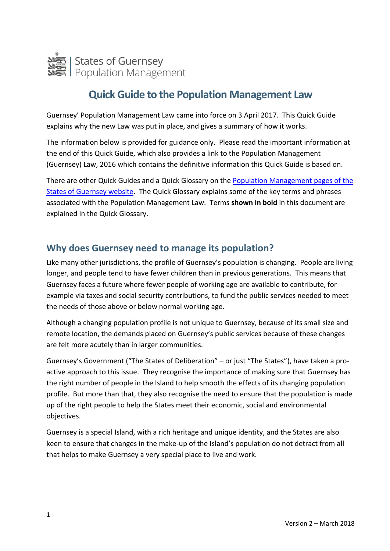

# **Quick Guide to the Population Management Law**

Guernsey' Population Management Law came into force on 3 April 2017. This Quick Guide explains why the new Law was put in place, and gives a summary of how it works.

The information below is provided for guidance only. Please read the important information at the end of this Quick Guide, which also provides a link to the Population Management (Guernsey) Law, 2016 which contains the definitive information this Quick Guide is based on.

There are other Quick Guides and a Quick Glossary on the [Population Management pages](https://www.gov.gg/populationmanagement) of the [States of Guernsey website.](https://www.gov.gg/populationmanagement) The Quick Glossary explains some of the key terms and phrases associated with the Population Management Law. Terms **shown in bold** in this document are explained in the Quick Glossary.

### **Why does Guernsey need to manage its population?**

Like many other jurisdictions, the profile of Guernsey's population is changing. People are living longer, and people tend to have fewer children than in previous generations. This means that Guernsey faces a future where fewer people of working age are available to contribute, for example via taxes and social security contributions, to fund the public services needed to meet the needs of those above or below normal working age.

Although a changing population profile is not unique to Guernsey, because of its small size and remote location, the demands placed on Guernsey's public services because of these changes are felt more acutely than in larger communities.

Guernsey's Government ("The States of Deliberation" – or just "The States"), have taken a proactive approach to this issue. They recognise the importance of making sure that Guernsey has the right number of people in the Island to help smooth the effects of its changing population profile. But more than that, they also recognise the need to ensure that the population is made up of the right people to help the States meet their economic, social and environmental objectives.

Guernsey is a special Island, with a rich heritage and unique identity, and the States are also keen to ensure that changes in the make-up of the Island's population do not detract from all that helps to make Guernsey a very special place to live and work.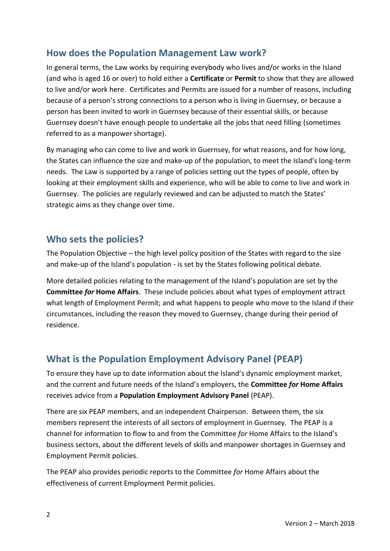# **How does the Population Management Law work?**

In general terms, the Law works by requiring everybody who lives and/or works in the Island (and who is aged 16 or over) to hold either a **Certificate** or **Permit** to show that they are allowed to live and/or work here. Certificates and Permits are issued for a number of reasons, including because of a person's strong connections to a person who is living in Guernsey, or because a person has been invited to work in Guernsey because of their essential skills, or because Guernsey doesn't have enough people to undertake all the jobs that need filling (sometimes referred to as a manpower shortage).

By managing who can come to live and work in Guernsey, for what reasons, and for how long, the States can influence the size and make-up of the population, to meet the Island's long-term needs. The Law is supported by a range of policies setting out the types of people, often by looking at their employment skills and experience, who will be able to come to live and work in Guernsey. The policies are regularly reviewed and can be adjusted to match the States' strategic aims as they change over time.

### **Who sets the policies?**

The Population Objective – the high level policy position of the States with regard to the size and make-up of the Island's population - is set by the States following political debate.

More detailed policies relating to the management of the Island's population are set by the **Committee** *for* **Home Affairs**. These include policies about what types of employment attract what length of Employment Permit; and what happens to people who move to the Island if their circumstances, including the reason they moved to Guernsey, change during their period of residence.

# **What is the Population Employment Advisory Panel (PEAP)**

To ensure they have up to date information about the Island's dynamic employment market, and the current and future needs of the Island's employers, the **Committee** *for* **Home Affairs** receives advice from a **Population Employment Advisory Panel** (PEAP).

There are six PEAP members, and an independent Chairperson. Between them, the six members represent the interests of all sectors of employment in Guernsey. The PEAP is a channel for information to flow to and from the Committee *for* Home Affairs to the Island's business sectors, about the different levels of skills and manpower shortages in Guernsey and Employment Permit policies.

The PEAP also provides periodic reports to the Committee *for* Home Affairs about the effectiveness of current Employment Permit policies.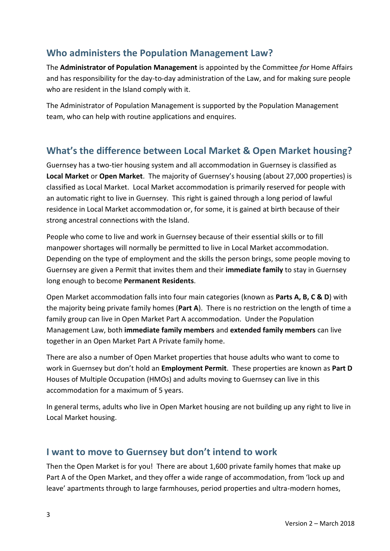# **Who administers the Population Management Law?**

The **Administrator of Population Management** is appointed by the Committee *for* Home Affairs and has responsibility for the day-to-day administration of the Law, and for making sure people who are resident in the Island comply with it.

The Administrator of Population Management is supported by the Population Management team, who can help with routine applications and enquires.

# **What's the difference between Local Market & Open Market housing?**

Guernsey has a two-tier housing system and all accommodation in Guernsey is classified as **Local Market** or **Open Market**. The majority of Guernsey's housing (about 27,000 properties) is classified as Local Market. Local Market accommodation is primarily reserved for people with an automatic right to live in Guernsey. This right is gained through a long period of lawful residence in Local Market accommodation or, for some, it is gained at birth because of their strong ancestral connections with the Island.

People who come to live and work in Guernsey because of their essential skills or to fill manpower shortages will normally be permitted to live in Local Market accommodation. Depending on the type of employment and the skills the person brings, some people moving to Guernsey are given a Permit that invites them and their **immediate family** to stay in Guernsey long enough to become **Permanent Residents**.

Open Market accommodation falls into four main categories (known as **Parts A, B, C & D**) with the majority being private family homes (**Part A**). There is no restriction on the length of time a family group can live in Open Market Part A accommodation. Under the Population Management Law, both **immediate family members** and **extended family members** can live together in an Open Market Part A Private family home.

There are also a number of Open Market properties that house adults who want to come to work in Guernsey but don't hold an **Employment Permit**. These properties are known as **Part D** Houses of Multiple Occupation (HMOs) and adults moving to Guernsey can live in this accommodation for a maximum of 5 years.

In general terms, adults who live in Open Market housing are not building up any right to live in Local Market housing.

#### **I want to move to Guernsey but don't intend to work**

Then the Open Market is for you! There are about 1,600 private family homes that make up Part A of the Open Market, and they offer a wide range of accommodation, from 'lock up and leave' apartments through to large farmhouses, period properties and ultra-modern homes,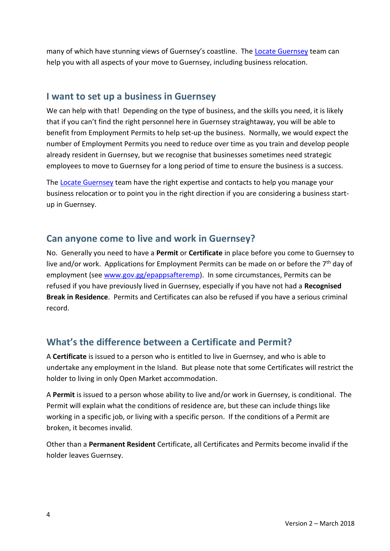many of which have stunning views of Guernsey's coastline. The [Locate Guernsey](http://www.locateguernsey.com/) team can help you with all aspects of your move to Guernsey, including business relocation.

#### **I want to set up a business in Guernsey**

We can help with that! Depending on the type of business, and the skills you need, it is likely that if you can't find the right personnel here in Guernsey straightaway, you will be able to benefit from Employment Permits to help set-up the business. Normally, we would expect the number of Employment Permits you need to reduce over time as you train and develop people already resident in Guernsey, but we recognise that businesses sometimes need strategic employees to move to Guernsey for a long period of time to ensure the business is a success.

Th[e Locate Guernsey](http://www.locateguernsey.com/) team have the right expertise and contacts to help you manage your business relocation or to point you in the right direction if you are considering a business startup in Guernsey.

### **Can anyone come to live and work in Guernsey?**

No. Generally you need to have a **Permit** or **Certificate** in place before you come to Guernsey to live and/or work. Applications for Employment Permits can be made on or before the 7<sup>th</sup> day of employment (see [www.gov.gg/epappsafteremp\)](http://www.gov.gg/epappsafteremp). In some circumstances, Permits can be refused if you have previously lived in Guernsey, especially if you have not had a **Recognised Break in Residence**. Permits and Certificates can also be refused if you have a serious criminal record.

# **What's the difference between a Certificate and Permit?**

A **Certificate** is issued to a person who is entitled to live in Guernsey, and who is able to undertake any employment in the Island. But please note that some Certificates will restrict the holder to living in only Open Market accommodation.

A **Permit** is issued to a person whose ability to live and/or work in Guernsey, is conditional. The Permit will explain what the conditions of residence are, but these can include things like working in a specific job, or living with a specific person. If the conditions of a Permit are broken, it becomes invalid.

Other than a **Permanent Resident** Certificate, all Certificates and Permits become invalid if the holder leaves Guernsey.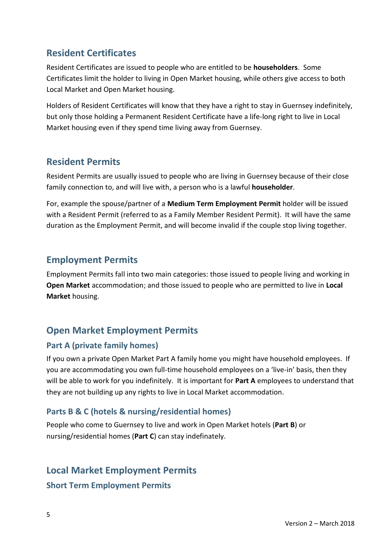# **Resident Certificates**

Resident Certificates are issued to people who are entitled to be **householders**. Some Certificates limit the holder to living in Open Market housing, while others give access to both Local Market and Open Market housing.

Holders of Resident Certificates will know that they have a right to stay in Guernsey indefinitely, but only those holding a Permanent Resident Certificate have a life-long right to live in Local Market housing even if they spend time living away from Guernsey.

### **Resident Permits**

Resident Permits are usually issued to people who are living in Guernsey because of their close family connection to, and will live with, a person who is a lawful **householder**.

For, example the spouse/partner of a **Medium Term Employment Permit** holder will be issued with a Resident Permit (referred to as a Family Member Resident Permit). It will have the same duration as the Employment Permit, and will become invalid if the couple stop living together.

### **Employment Permits**

Employment Permits fall into two main categories: those issued to people living and working in **Open Market** accommodation; and those issued to people who are permitted to live in **Local Market** housing.

# **Open Market Employment Permits**

#### **Part A (private family homes)**

If you own a private Open Market Part A family home you might have household employees. If you are accommodating you own full-time household employees on a 'live-in' basis, then they will be able to work for you indefinitely. It is important for **Part A** employees to understand that they are not building up any rights to live in Local Market accommodation.

#### **Parts B & C (hotels & nursing/residential homes)**

People who come to Guernsey to live and work in Open Market hotels (**Part B**) or nursing/residential homes (**Part C**) can stay indefinately.

#### **Local Market Employment Permits**

**Short Term Employment Permits**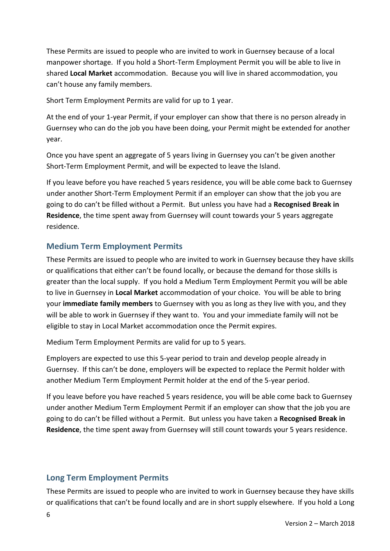These Permits are issued to people who are invited to work in Guernsey because of a local manpower shortage. If you hold a Short-Term Employment Permit you will be able to live in shared **Local Market** accommodation. Because you will live in shared accommodation, you can't house any family members.

Short Term Employment Permits are valid for up to 1 year.

At the end of your 1-year Permit, if your employer can show that there is no person already in Guernsey who can do the job you have been doing, your Permit might be extended for another year.

Once you have spent an aggregate of 5 years living in Guernsey you can't be given another Short-Term Employment Permit, and will be expected to leave the Island.

If you leave before you have reached 5 years residence, you will be able come back to Guernsey under another Short-Term Employment Permit if an employer can show that the job you are going to do can't be filled without a Permit. But unless you have had a **Recognised Break in Residence**, the time spent away from Guernsey will count towards your 5 years aggregate residence.

#### **Medium Term Employment Permits**

These Permits are issued to people who are invited to work in Guernsey because they have skills or qualifications that either can't be found locally, or because the demand for those skills is greater than the local supply. If you hold a Medium Term Employment Permit you will be able to live in Guernsey in **Local Market** accommodation of your choice. You will be able to bring your **immediate family members** to Guernsey with you as long as they live with you, and they will be able to work in Guernsey if they want to. You and your immediate family will not be eligible to stay in Local Market accommodation once the Permit expires.

Medium Term Employment Permits are valid for up to 5 years.

Employers are expected to use this 5-year period to train and develop people already in Guernsey. If this can't be done, employers will be expected to replace the Permit holder with another Medium Term Employment Permit holder at the end of the 5-year period.

If you leave before you have reached 5 years residence, you will be able come back to Guernsey under another Medium Term Employment Permit if an employer can show that the job you are going to do can't be filled without a Permit. But unless you have taken a **Recognised Break in Residence**, the time spent away from Guernsey will still count towards your 5 years residence.

#### **Long Term Employment Permits**

These Permits are issued to people who are invited to work in Guernsey because they have skills or qualifications that can't be found locally and are in short supply elsewhere. If you hold a Long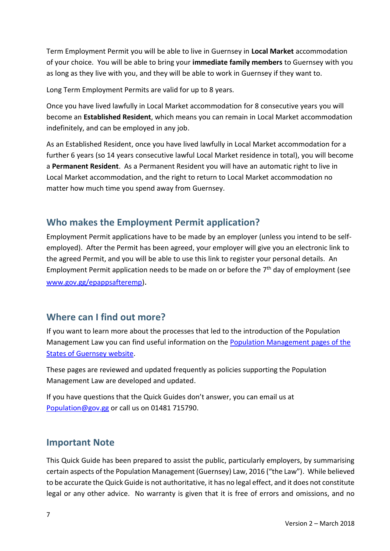Term Employment Permit you will be able to live in Guernsey in **Local Market** accommodation of your choice. You will be able to bring your **immediate family members** to Guernsey with you as long as they live with you, and they will be able to work in Guernsey if they want to.

Long Term Employment Permits are valid for up to 8 years.

Once you have lived lawfully in Local Market accommodation for 8 consecutive years you will become an **Established Resident**, which means you can remain in Local Market accommodation indefinitely, and can be employed in any job.

As an Established Resident, once you have lived lawfully in Local Market accommodation for a further 6 years (so 14 years consecutive lawful Local Market residence in total), you will become a **Permanent Resident**. As a Permanent Resident you will have an automatic right to live in Local Market accommodation, and the right to return to Local Market accommodation no matter how much time you spend away from Guernsey.

# **Who makes the Employment Permit application?**

Employment Permit applications have to be made by an employer (unless you intend to be selfemployed). After the Permit has been agreed, your employer will give you an electronic link to the agreed Permit, and you will be able to use this link to register your personal details. An Employment Permit application needs to be made on or before the 7<sup>th</sup> day of employment (see [www.gov.gg/epappsafteremp\)](http://www.gov.gg/epappsafteremp).

# **Where can I find out more?**

If you want to learn more about the processes that led to the introduction of the Population Management Law you can find useful information on the [Population Management pages](https://www.gov.gg/populationmanagement) of the [States of Guernsey](https://www.gov.gg/populationmanagement) website.

These pages are reviewed and updated frequently as policies supporting the Population Management Law are developed and updated.

If you have questions that the Quick Guides don't answer, you can email us at [Population@gov.gg](mailto:Population@gov.gg) or call us on 01481 715790.

#### **Important Note**

This Quick Guide has been prepared to assist the public, particularly employers, by summarising certain aspects of the Population Management (Guernsey) Law, 2016 ("the Law"). While believed to be accurate the Quick Guide is not authoritative, it has no legal effect, and it does not constitute legal or any other advice. No warranty is given that it is free of errors and omissions, and no